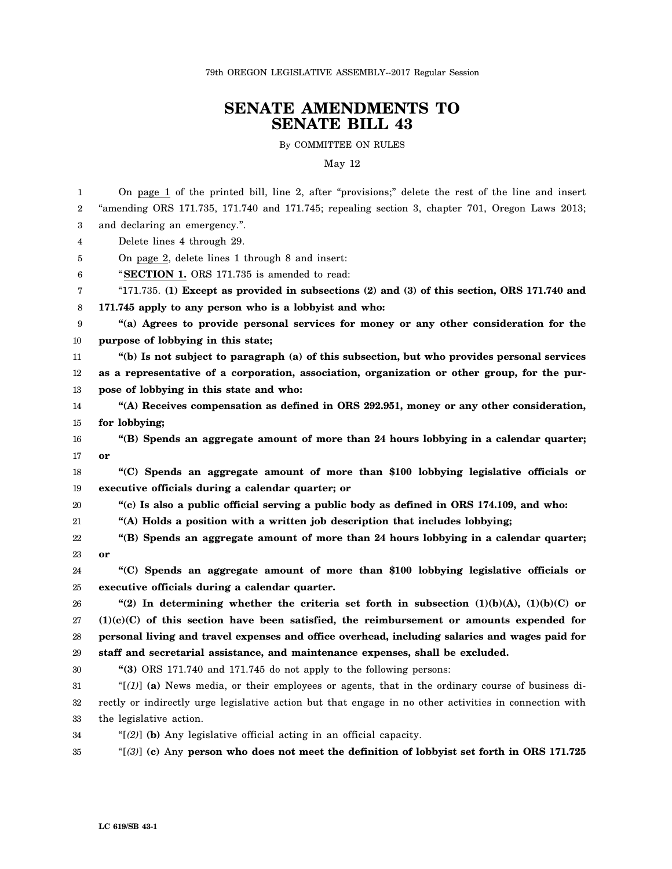79th OREGON LEGISLATIVE ASSEMBLY--2017 Regular Session

## **SENATE AMENDMENTS TO SENATE BILL 43**

By COMMITTEE ON RULES

May 12

1 2 3 4 5 6 7 8 9 10 11 12 13 14 15 16 17 18 19 20 21 22 23 24 25 26 27 28 29 30 31 32 33 34 35 On page 1 of the printed bill, line 2, after "provisions;" delete the rest of the line and insert "amending ORS 171.735, 171.740 and 171.745; repealing section 3, chapter 701, Oregon Laws 2013; and declaring an emergency.". Delete lines 4 through 29. On page 2, delete lines 1 through 8 and insert: "**SECTION 1.** ORS 171.735 is amended to read: "171.735. **(1) Except as provided in subsections (2) and (3) of this section, ORS 171.740 and 171.745 apply to any person who is a lobbyist and who: "(a) Agrees to provide personal services for money or any other consideration for the purpose of lobbying in this state; "(b) Is not subject to paragraph (a) of this subsection, but who provides personal services as a representative of a corporation, association, organization or other group, for the purpose of lobbying in this state and who: "(A) Receives compensation as defined in ORS 292.951, money or any other consideration, for lobbying; "(B) Spends an aggregate amount of more than 24 hours lobbying in a calendar quarter; or "(C) Spends an aggregate amount of more than \$100 lobbying legislative officials or executive officials during a calendar quarter; or "(c) Is also a public official serving a public body as defined in ORS 174.109, and who: "(A) Holds a position with a written job description that includes lobbying; "(B) Spends an aggregate amount of more than 24 hours lobbying in a calendar quarter; or "(C) Spends an aggregate amount of more than \$100 lobbying legislative officials or executive officials during a calendar quarter. "(2) In determining whether the criteria set forth in subsection (1)(b)(A), (1)(b)(C) or (1)(c)(C) of this section have been satisfied, the reimbursement or amounts expended for personal living and travel expenses and office overhead, including salaries and wages paid for staff and secretarial assistance, and maintenance expenses, shall be excluded. "(3)** ORS 171.740 and 171.745 do not apply to the following persons: " $[1]$  (a) News media, or their employees or agents, that in the ordinary course of business directly or indirectly urge legislative action but that engage in no other activities in connection with the legislative action. "[*(2)*] **(b)** Any legislative official acting in an official capacity. "[*(3)*] **(c)** Any **person who does not meet the definition of lobbyist set forth in ORS 171.725**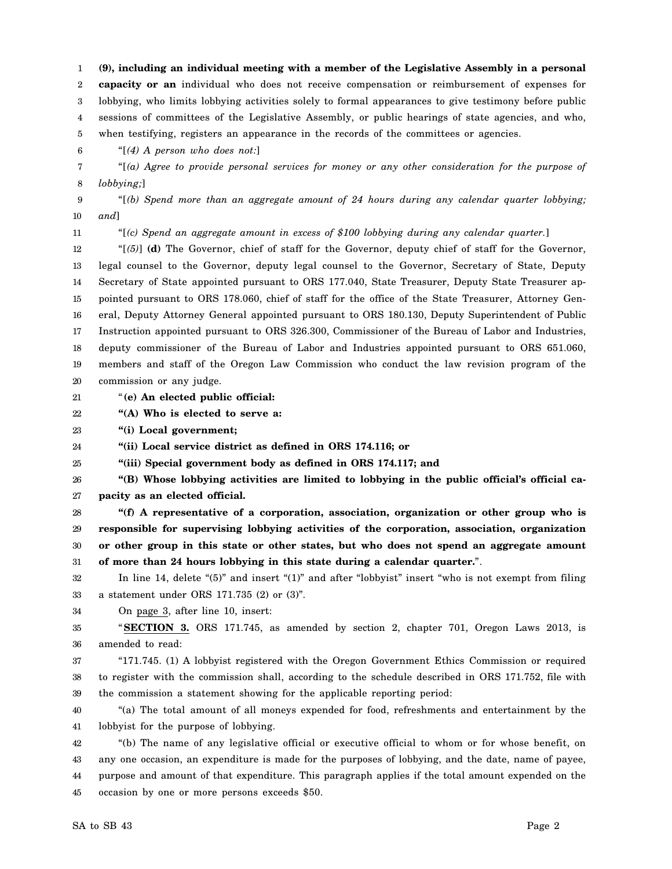1 2 3 4 5 **(9), including an individual meeting with a member of the Legislative Assembly in a personal capacity or an** individual who does not receive compensation or reimbursement of expenses for lobbying, who limits lobbying activities solely to formal appearances to give testimony before public sessions of committees of the Legislative Assembly, or public hearings of state agencies, and who, when testifying, registers an appearance in the records of the committees or agencies.

"[*(4) A person who does not:*]

7 8 "[*(a) Agree to provide personal services for money or any other consideration for the purpose of lobbying;*]

9 10 "[*(b) Spend more than an aggregate amount of 24 hours during any calendar quarter lobbying; and*]

11

6

"[*(c) Spend an aggregate amount in excess of \$100 lobbying during any calendar quarter.*]

12 13 14 15 16 17 18 19 20 "[*(5)*] **(d)** The Governor, chief of staff for the Governor, deputy chief of staff for the Governor, legal counsel to the Governor, deputy legal counsel to the Governor, Secretary of State, Deputy Secretary of State appointed pursuant to ORS 177.040, State Treasurer, Deputy State Treasurer appointed pursuant to ORS 178.060, chief of staff for the office of the State Treasurer, Attorney General, Deputy Attorney General appointed pursuant to ORS 180.130, Deputy Superintendent of Public Instruction appointed pursuant to ORS 326.300, Commissioner of the Bureau of Labor and Industries, deputy commissioner of the Bureau of Labor and Industries appointed pursuant to ORS 651.060, members and staff of the Oregon Law Commission who conduct the law revision program of the commission or any judge.

21 "**(e) An elected public official:**

22 **"(A) Who is elected to serve a:**

23 **"(i) Local government;**

24 **"(ii) Local service district as defined in ORS 174.116; or**

25 **"(iii) Special government body as defined in ORS 174.117; and**

26 27 **"(B) Whose lobbying activities are limited to lobbying in the public official's official capacity as an elected official.**

28 29 30 31 **"(f) A representative of a corporation, association, organization or other group who is responsible for supervising lobbying activities of the corporation, association, organization or other group in this state or other states, but who does not spend an aggregate amount of more than 24 hours lobbying in this state during a calendar quarter.**".

32 33 In line 14, delete "(5)" and insert "(1)" and after "lobbyist" insert "who is not exempt from filing a statement under ORS 171.735 (2) or (3)".

34 On page 3, after line 10, insert:

35 36 "**SECTION 3.** ORS 171.745, as amended by section 2, chapter 701, Oregon Laws 2013, is amended to read:

37 38 39 "171.745. (1) A lobbyist registered with the Oregon Government Ethics Commission or required to register with the commission shall, according to the schedule described in ORS 171.752, file with the commission a statement showing for the applicable reporting period:

40 41 "(a) The total amount of all moneys expended for food, refreshments and entertainment by the lobbyist for the purpose of lobbying.

42 43 44 45 "(b) The name of any legislative official or executive official to whom or for whose benefit, on any one occasion, an expenditure is made for the purposes of lobbying, and the date, name of payee, purpose and amount of that expenditure. This paragraph applies if the total amount expended on the occasion by one or more persons exceeds \$50.